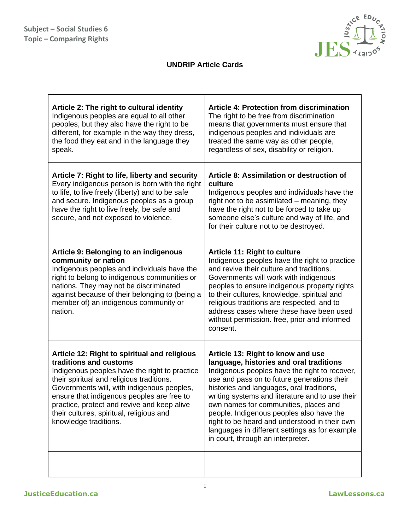

## **UNDRIP Article Cards**

| Article 2: The right to cultural identity<br>Indigenous peoples are equal to all other<br>peoples, but they also have the right to be<br>different, for example in the way they dress,<br>the food they eat and in the language they<br>speak.                                                                                                                                       | <b>Article 4: Protection from discrimination</b><br>The right to be free from discrimination<br>means that governments must ensure that<br>indigenous peoples and individuals are<br>treated the same way as other people,<br>regardless of sex, disability or religion.                                                                                                                                                                                                                                  |
|--------------------------------------------------------------------------------------------------------------------------------------------------------------------------------------------------------------------------------------------------------------------------------------------------------------------------------------------------------------------------------------|-----------------------------------------------------------------------------------------------------------------------------------------------------------------------------------------------------------------------------------------------------------------------------------------------------------------------------------------------------------------------------------------------------------------------------------------------------------------------------------------------------------|
| Article 7: Right to life, liberty and security<br>Every indigenous person is born with the right<br>to life, to live freely (liberty) and to be safe<br>and secure. Indigenous peoples as a group<br>have the right to live freely, be safe and<br>secure, and not exposed to violence.                                                                                              | Article 8: Assimilation or destruction of<br>culture<br>Indigenous peoples and individuals have the<br>right not to be assimilated – meaning, they<br>have the right not to be forced to take up<br>someone else's culture and way of life, and<br>for their culture not to be destroyed.                                                                                                                                                                                                                 |
| Article 9: Belonging to an indigenous<br>community or nation<br>Indigenous peoples and individuals have the<br>right to belong to indigenous communities or<br>nations. They may not be discriminated<br>against because of their belonging to (being a<br>member of) an indigenous community or<br>nation.                                                                          | <b>Article 11: Right to culture</b><br>Indigenous peoples have the right to practice<br>and revive their culture and traditions.<br>Governments will work with indigenous<br>peoples to ensure indigenous property rights<br>to their cultures, knowledge, spiritual and<br>religious traditions are respected, and to<br>address cases where these have been used<br>without permission. free, prior and informed<br>consent.                                                                            |
| Article 12: Right to spiritual and religious<br>traditions and customs<br>Indigenous peoples have the right to practice<br>their spiritual and religious traditions.<br>Governments will, with indigenous peoples,<br>ensure that indigenous peoples are free to<br>practice, protect and revive and keep alive<br>their cultures, spiritual, religious and<br>knowledge traditions. | Article 13: Right to know and use<br>language, histories and oral traditions<br>Indigenous peoples have the right to recover,<br>use and pass on to future generations their<br>histories and languages, oral traditions,<br>writing systems and literature and to use their<br>own names for communities, places and<br>people. Indigenous peoples also have the<br>right to be heard and understood in their own<br>languages in different settings as for example<br>in court, through an interpreter. |
|                                                                                                                                                                                                                                                                                                                                                                                      |                                                                                                                                                                                                                                                                                                                                                                                                                                                                                                           |